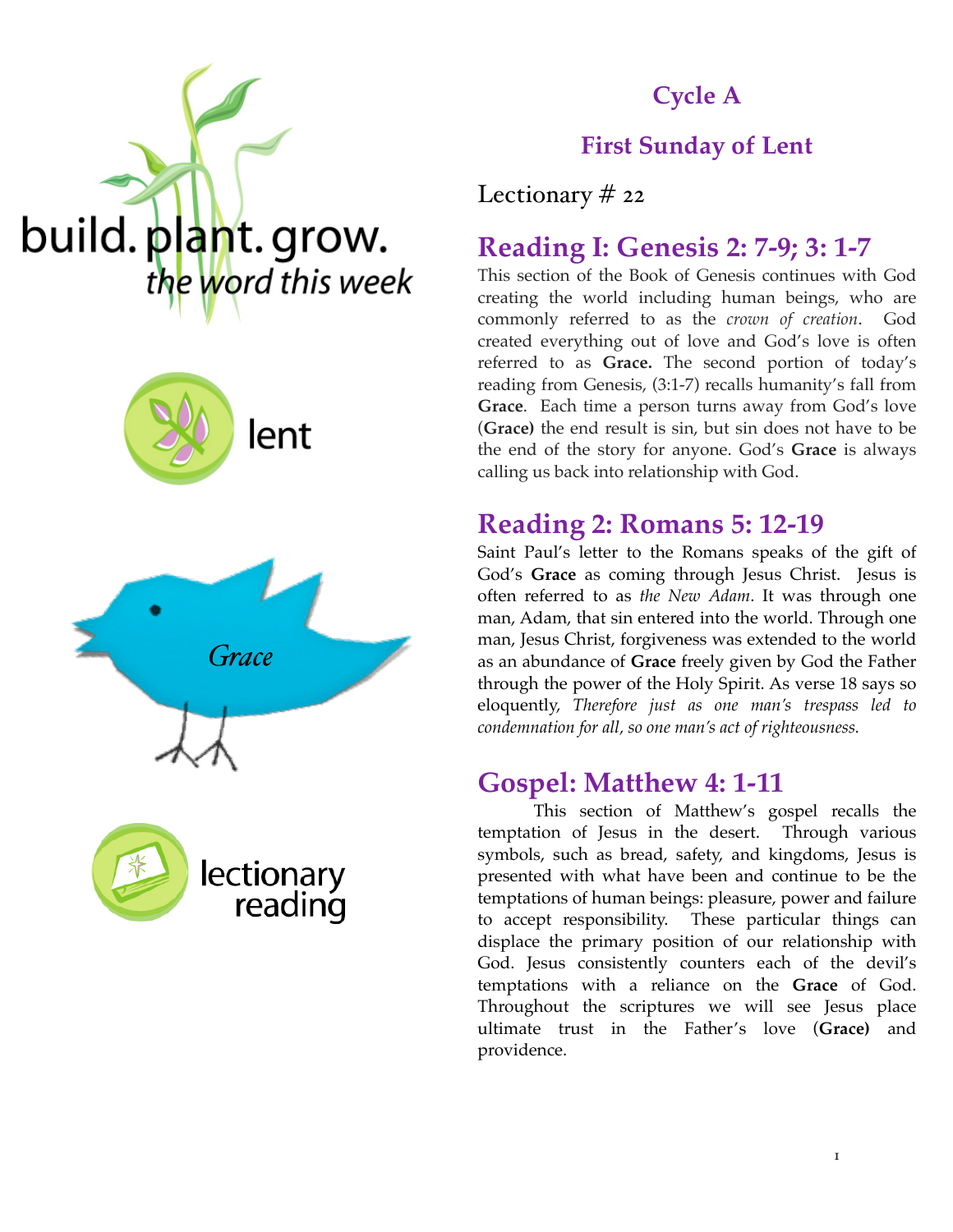







# **Cycle A**

### **First Sunday of Lent**

Lectionary # 22

# **Reading I: Genesis 2: 7-9; 3: 1-7**

This section of the Book of Genesis continues with God creating the world including human beings, who are commonly referred to as the *crown of creation*. God created everything out of love and God's love is often referred to as **Grace.** The second portion of today's reading from Genesis, (3:1-7) recalls humanity's fall from **Grace**. Each time a person turns away from God's love (**Grace)** the end result is sin, but sin does not have to be the end of the story for anyone. God's **Grace** is always calling us back into relationship with God.

### **Reading 2: Romans 5: 12-19**

Saint Paul's letter to the Romans speaks of the gift of God's **Grace** as coming through Jesus Christ. Jesus is often referred to as *the New Adam*. It was through one man, Adam, that sin entered into the world. Through one man, Jesus Christ, forgiveness was extended to the world as an abundance of **Grace** freely given by God the Father through the power of the Holy Spirit. As verse 18 says so eloquently, *Therefore just as one man's trespass led to condemnation for all, so one man's act of righteousness.*

### **Gospel: Matthew 4: 1-11**

This section of Matthew's gospel recalls the temptation of Jesus in the desert. Through various symbols, such as bread, safety, and kingdoms, Jesus is presented with what have been and continue to be the temptations of human beings: pleasure, power and failure to accept responsibility. These particular things can displace the primary position of our relationship with God. Jesus consistently counters each of the devil's temptations with a reliance on the **Grace** of God. Throughout the scriptures we will see Jesus place ultimate trust in the Father's love (**Grace)** and providence.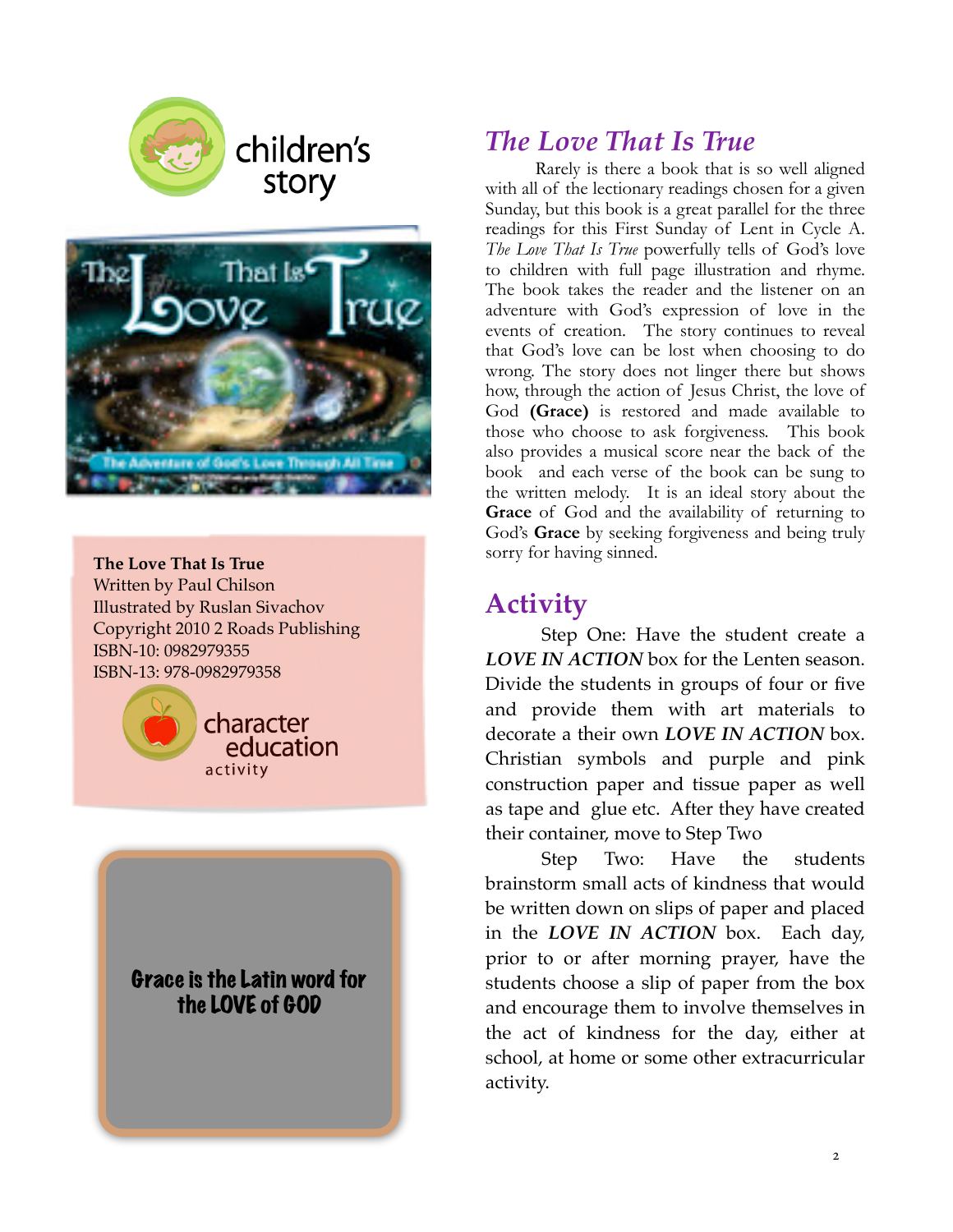

# children's story



**The Love That Is True** Written by Paul Chilson Illustrated by Ruslan Sivachov Copyright 2010 2 Roads Publishing ISBN-10: 0982979355 ISBN-13: 978-0982979358



#### Grace is the Latin word for the LOVE of GOD

# *The Love That Is True*

 Rarely is there a book that is so well aligned with all of the lectionary readings chosen for a given Sunday, but this book is a great parallel for the three readings for this First Sunday of Lent in Cycle A. *The Love That Is True* powerfully tells of God's love to children with full page illustration and rhyme. The book takes the reader and the listener on an adventure with God's expression of love in the events of creation. The story continues to reveal that God's love can be lost when choosing to do wrong. The story does not linger there but shows how, through the action of Jesus Christ, the love of God **(Grace)** is restored and made available to those who choose to ask forgiveness. This book also provides a musical score near the back of the book and each verse of the book can be sung to the written melody. It is an ideal story about the **Grace** of God and the availability of returning to God's **Grace** by seeking forgiveness and being truly sorry for having sinned.

# **Activity**

Step One: Have the student create a *LOVE IN ACTION* box for the Lenten season. Divide the students in groups of four or five and provide them with art materials to decorate a their own *LOVE IN ACTION* box. Christian symbols and purple and pink construction paper and tissue paper as well as tape and glue etc. After they have created their container, move to Step Two

Step Two: Have the students brainstorm small acts of kindness that would be written down on slips of paper and placed in the *LOVE IN ACTION* box. Each day, prior to or after morning prayer, have the students choose a slip of paper from the box and encourage them to involve themselves in the act of kindness for the day, either at school, at home or some other extracurricular activity.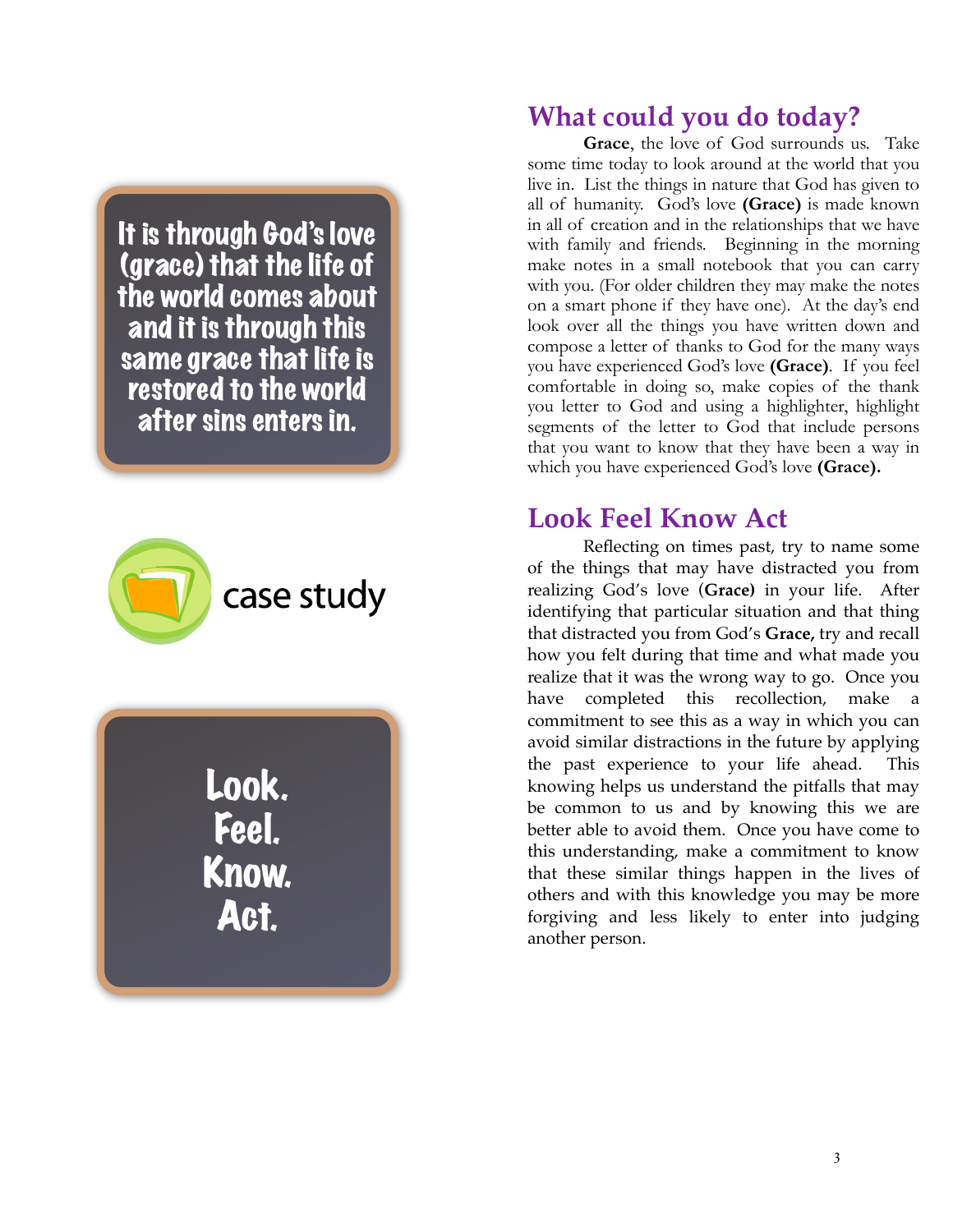It is through God's love (grace) that the life of the world comes about and it is through this same grace that life is restored to the world after sins enters in.



Look. Feel. Know. Act.

## **What could you do today?**

**Grace**, the love of God surrounds us. Take some time today to look around at the world that you live in. List the things in nature that God has given to all of humanity. God's love **(Grace)** is made known in all of creation and in the relationships that we have with family and friends. Beginning in the morning make notes in a small notebook that you can carry with you. (For older children they may make the notes on a smart phone if they have one). At the day's end look over all the things you have written down and compose a letter of thanks to God for the many ways you have experienced God's love **(Grace)***.* If you feel comfortable in doing so, make copies of the thank you letter to God and using a highlighter, highlight segments of the letter to God that include persons that you want to know that they have been a way in which you have experienced God's love **(Grace).**

## **Look Feel Know Act**

 Reflecting on times past, try to name some of the things that may have distracted you from realizing God's love (**Grace)** in your life. After identifying that particular situation and that thing that distracted you from God's **Grace,** try and recall how you felt during that time and what made you realize that it was the wrong way to go. Once you have completed this recollection, make a commitment to see this as a way in which you can avoid similar distractions in the future by applying the past experience to your life ahead. This knowing helps us understand the pitfalls that may be common to us and by knowing this we are better able to avoid them. Once you have come to this understanding, make a commitment to know that these similar things happen in the lives of others and with this knowledge you may be more forgiving and less likely to enter into judging another person.